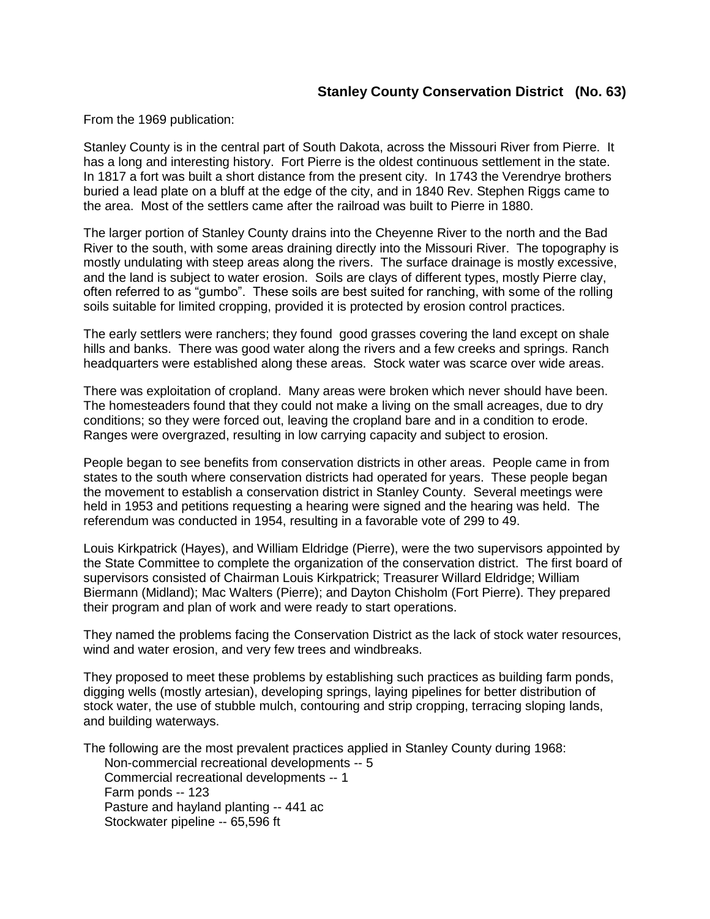From the 1969 publication:

Stanley County is in the central part of South Dakota, across the Missouri River from Pierre. It has a long and interesting history. Fort Pierre is the oldest continuous settlement in the state. In 1817 a fort was built a short distance from the present city. In 1743 the Verendrye brothers buried a lead plate on a bluff at the edge of the city, and in 1840 Rev. Stephen Riggs came to the area. Most of the settlers came after the railroad was built to Pierre in 1880.

The larger portion of Stanley County drains into the Cheyenne River to the north and the Bad River to the south, with some areas draining directly into the Missouri River. The topography is mostly undulating with steep areas along the rivers. The surface drainage is mostly excessive, and the land is subject to water erosion. Soils are clays of different types, mostly Pierre clay, often referred to as "gumbo". These soils are best suited for ranching, with some of the rolling soils suitable for limited cropping, provided it is protected by erosion control practices.

The early settlers were ranchers; they found good grasses covering the land except on shale hills and banks. There was good water along the rivers and a few creeks and springs. Ranch headquarters were established along these areas. Stock water was scarce over wide areas.

There was exploitation of cropland. Many areas were broken which never should have been. The homesteaders found that they could not make a living on the small acreages, due to dry conditions; so they were forced out, leaving the cropland bare and in a condition to erode. Ranges were overgrazed, resulting in low carrying capacity and subject to erosion.

People began to see benefits from conservation districts in other areas. People came in from states to the south where conservation districts had operated for years. These people began the movement to establish a conservation district in Stanley County. Several meetings were held in 1953 and petitions requesting a hearing were signed and the hearing was held. The referendum was conducted in 1954, resulting in a favorable vote of 299 to 49.

Louis Kirkpatrick (Hayes), and William Eldridge (Pierre), were the two supervisors appointed by the State Committee to complete the organization of the conservation district. The first board of supervisors consisted of Chairman Louis Kirkpatrick; Treasurer Willard Eldridge; William Biermann (Midland); Mac Walters (Pierre); and Dayton Chisholm (Fort Pierre). They prepared their program and plan of work and were ready to start operations.

They named the problems facing the Conservation District as the lack of stock water resources, wind and water erosion, and very few trees and windbreaks.

They proposed to meet these problems by establishing such practices as building farm ponds, digging wells (mostly artesian), developing springs, laying pipelines for better distribution of stock water, the use of stubble mulch, contouring and strip cropping, terracing sloping lands, and building waterways.

The following are the most prevalent practices applied in Stanley County during 1968:

Non-commercial recreational developments -- 5 Commercial recreational developments -- 1 Farm ponds -- 123 Pasture and hayland planting -- 441 ac Stockwater pipeline -- 65,596 ft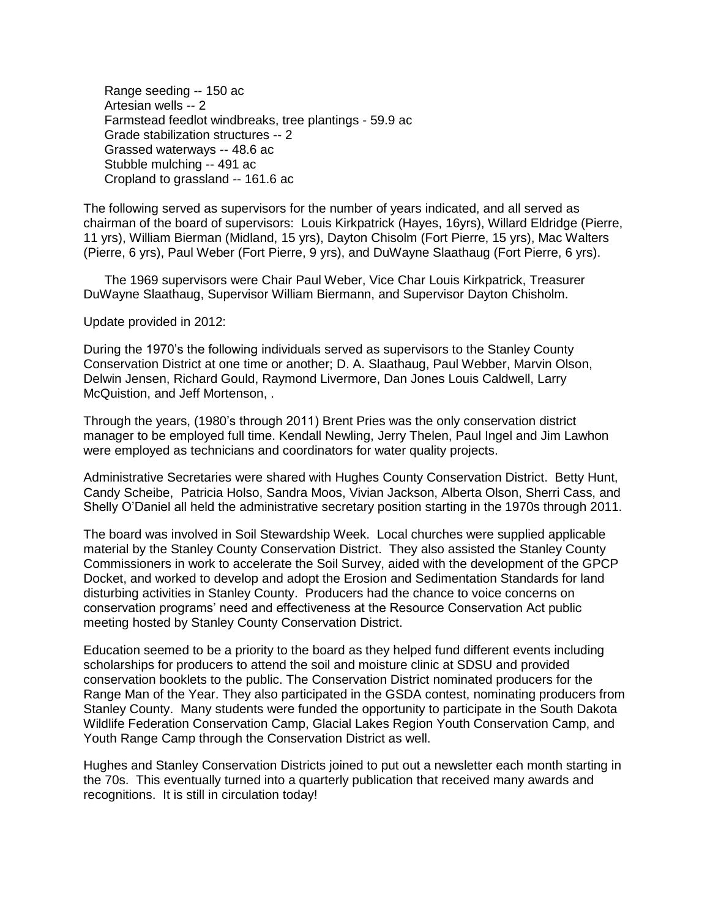Range seeding -- 150 ac Artesian wells -- 2 Farmstead feedlot windbreaks, tree plantings - 59.9 ac Grade stabilization structures -- 2 Grassed waterways -- 48.6 ac Stubble mulching -- 491 ac Cropland to grassland -- 161.6 ac

The following served as supervisors for the number of years indicated, and all served as chairman of the board of supervisors: Louis Kirkpatrick (Hayes, 16yrs), Willard Eldridge (Pierre, 11 yrs), William Bierman (Midland, 15 yrs), Dayton Chisolm (Fort Pierre, 15 yrs), Mac Walters (Pierre, 6 yrs), Paul Weber (Fort Pierre, 9 yrs), and DuWayne Slaathaug (Fort Pierre, 6 yrs).

The 1969 supervisors were Chair Paul Weber, Vice Char Louis Kirkpatrick, Treasurer DuWayne Slaathaug, Supervisor William Biermann, and Supervisor Dayton Chisholm.

Update provided in 2012:

During the 1970's the following individuals served as supervisors to the Stanley County Conservation District at one time or another; D. A. Slaathaug, Paul Webber, Marvin Olson, Delwin Jensen, Richard Gould, Raymond Livermore, Dan Jones Louis Caldwell, Larry McQuistion, and Jeff Mortenson, .

Through the years, (1980's through 2011) Brent Pries was the only conservation district manager to be employed full time. Kendall Newling, Jerry Thelen, Paul Ingel and Jim Lawhon were employed as technicians and coordinators for water quality projects.

Administrative Secretaries were shared with Hughes County Conservation District. Betty Hunt, Candy Scheibe, Patricia Holso, Sandra Moos, Vivian Jackson, Alberta Olson, Sherri Cass, and Shelly O'Daniel all held the administrative secretary position starting in the 1970s through 2011.

The board was involved in Soil Stewardship Week. Local churches were supplied applicable material by the Stanley County Conservation District. They also assisted the Stanley County Commissioners in work to accelerate the Soil Survey, aided with the development of the GPCP Docket, and worked to develop and adopt the Erosion and Sedimentation Standards for land disturbing activities in Stanley County. Producers had the chance to voice concerns on conservation programs' need and effectiveness at the Resource Conservation Act public meeting hosted by Stanley County Conservation District.

Education seemed to be a priority to the board as they helped fund different events including scholarships for producers to attend the soil and moisture clinic at SDSU and provided conservation booklets to the public. The Conservation District nominated producers for the Range Man of the Year. They also participated in the GSDA contest, nominating producers from Stanley County. Many students were funded the opportunity to participate in the South Dakota Wildlife Federation Conservation Camp, Glacial Lakes Region Youth Conservation Camp, and Youth Range Camp through the Conservation District as well.

Hughes and Stanley Conservation Districts joined to put out a newsletter each month starting in the 70s. This eventually turned into a quarterly publication that received many awards and recognitions. It is still in circulation today!